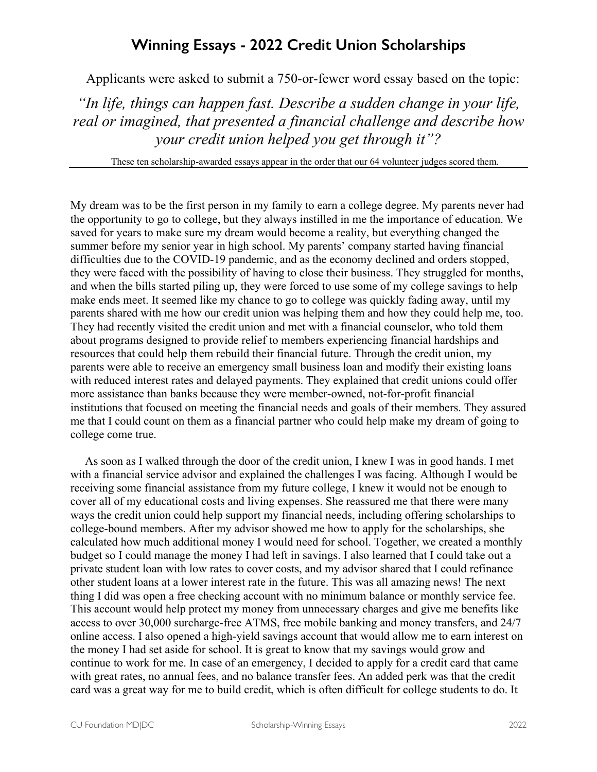Applicants were asked to submit a 750-or-fewer word essay based on the topic:

*"In life, things can happen fast. Describe a sudden change in your life, real or imagined, that presented a financial challenge and describe how your credit union helped you get through it"?*

These ten scholarship-awarded essays appear in the order that our 64 volunteer judges scored them.

My dream was to be the first person in my family to earn a college degree. My parents never had the opportunity to go to college, but they always instilled in me the importance of education. We saved for years to make sure my dream would become a reality, but everything changed the summer before my senior year in high school. My parents' company started having financial difficulties due to the COVID-19 pandemic, and as the economy declined and orders stopped, they were faced with the possibility of having to close their business. They struggled for months, and when the bills started piling up, they were forced to use some of my college savings to help make ends meet. It seemed like my chance to go to college was quickly fading away, until my parents shared with me how our credit union was helping them and how they could help me, too. They had recently visited the credit union and met with a financial counselor, who told them about programs designed to provide relief to members experiencing financial hardships and resources that could help them rebuild their financial future. Through the credit union, my parents were able to receive an emergency small business loan and modify their existing loans with reduced interest rates and delayed payments. They explained that credit unions could offer more assistance than banks because they were member-owned, not-for-profit financial institutions that focused on meeting the financial needs and goals of their members. They assured me that I could count on them as a financial partner who could help make my dream of going to college come true.

 As soon as I walked through the door of the credit union, I knew I was in good hands. I met with a financial service advisor and explained the challenges I was facing. Although I would be receiving some financial assistance from my future college, I knew it would not be enough to cover all of my educational costs and living expenses. She reassured me that there were many ways the credit union could help support my financial needs, including offering scholarships to college-bound members. After my advisor showed me how to apply for the scholarships, she calculated how much additional money I would need for school. Together, we created a monthly budget so I could manage the money I had left in savings. I also learned that I could take out a private student loan with low rates to cover costs, and my advisor shared that I could refinance other student loans at a lower interest rate in the future. This was all amazing news! The next thing I did was open a free checking account with no minimum balance or monthly service fee. This account would help protect my money from unnecessary charges and give me benefits like access to over 30,000 surcharge-free ATMS, free mobile banking and money transfers, and 24/7 online access. I also opened a high-yield savings account that would allow me to earn interest on the money I had set aside for school. It is great to know that my savings would grow and continue to work for me. In case of an emergency, I decided to apply for a credit card that came with great rates, no annual fees, and no balance transfer fees. An added perk was that the credit card was a great way for me to build credit, which is often difficult for college students to do. It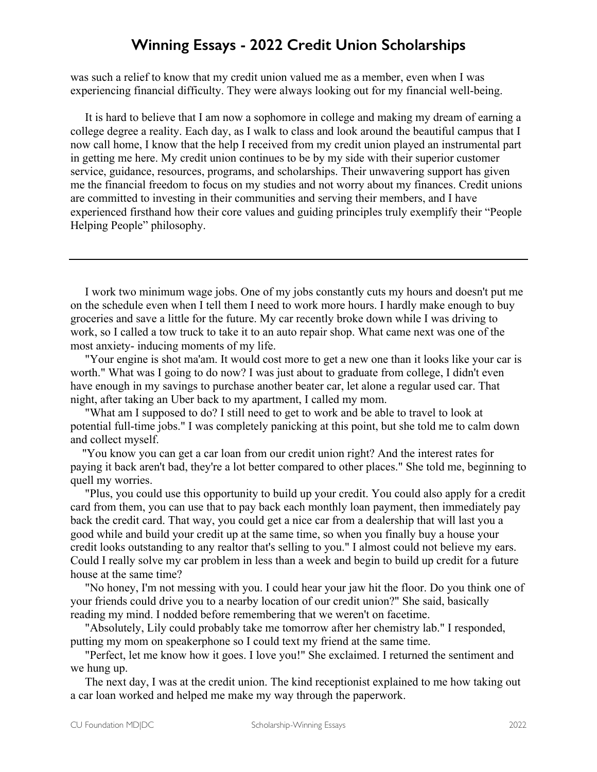was such a relief to know that my credit union valued me as a member, even when I was experiencing financial difficulty. They were always looking out for my financial well-being.

 It is hard to believe that I am now a sophomore in college and making my dream of earning a college degree a reality. Each day, as I walk to class and look around the beautiful campus that I now call home, I know that the help I received from my credit union played an instrumental part in getting me here. My credit union continues to be by my side with their superior customer service, guidance, resources, programs, and scholarships. Their unwavering support has given me the financial freedom to focus on my studies and not worry about my finances. Credit unions are committed to investing in their communities and serving their members, and I have experienced firsthand how their core values and guiding principles truly exemplify their "People Helping People" philosophy.

 I work two minimum wage jobs. One of my jobs constantly cuts my hours and doesn't put me on the schedule even when I tell them I need to work more hours. I hardly make enough to buy groceries and save a little for the future. My car recently broke down while I was driving to work, so I called a tow truck to take it to an auto repair shop. What came next was one of the most anxiety- inducing moments of my life.

 "Your engine is shot ma'am. It would cost more to get a new one than it looks like your car is worth." What was I going to do now? I was just about to graduate from college, I didn't even have enough in my savings to purchase another beater car, let alone a regular used car. That night, after taking an Uber back to my apartment, I called my mom.

 "What am I supposed to do? I still need to get to work and be able to travel to look at potential full-time jobs." I was completely panicking at this point, but she told me to calm down and collect myself.

 "You know you can get a car loan from our credit union right? And the interest rates for paying it back aren't bad, they're a lot better compared to other places." She told me, beginning to quell my worries.

 "Plus, you could use this opportunity to build up your credit. You could also apply for a credit card from them, you can use that to pay back each monthly loan payment, then immediately pay back the credit card. That way, you could get a nice car from a dealership that will last you a good while and build your credit up at the same time, so when you finally buy a house your credit looks outstanding to any realtor that's selling to you." I almost could not believe my ears. Could I really solve my car problem in less than a week and begin to build up credit for a future house at the same time?

 "No honey, I'm not messing with you. I could hear your jaw hit the floor. Do you think one of your friends could drive you to a nearby location of our credit union?" She said, basically reading my mind. I nodded before remembering that we weren't on facetime.

 "Absolutely, Lily could probably take me tomorrow after her chemistry lab." I responded, putting my mom on speakerphone so I could text my friend at the same time.

 "Perfect, let me know how it goes. I love you!" She exclaimed. I returned the sentiment and we hung up.

 The next day, I was at the credit union. The kind receptionist explained to me how taking out a car loan worked and helped me make my way through the paperwork.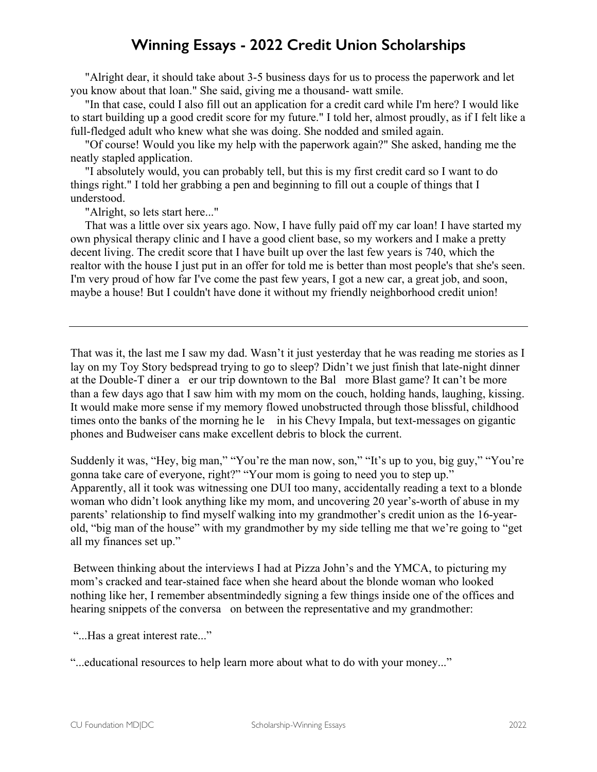"Alright dear, it should take about 3-5 business days for us to process the paperwork and let you know about that loan." She said, giving me a thousand- watt smile.

 "In that case, could I also fill out an application for a credit card while I'm here? I would like to start building up a good credit score for my future." I told her, almost proudly, as if I felt like a full-fledged adult who knew what she was doing. She nodded and smiled again.

 "Of course! Would you like my help with the paperwork again?" She asked, handing me the neatly stapled application.

 "I absolutely would, you can probably tell, but this is my first credit card so I want to do things right." I told her grabbing a pen and beginning to fill out a couple of things that I understood.

"Alright, so lets start here..."

 That was a little over six years ago. Now, I have fully paid off my car loan! I have started my own physical therapy clinic and I have a good client base, so my workers and I make a pretty decent living. The credit score that I have built up over the last few years is 740, which the realtor with the house I just put in an offer for told me is better than most people's that she's seen. I'm very proud of how far I've come the past few years, I got a new car, a great job, and soon, maybe a house! But I couldn't have done it without my friendly neighborhood credit union!

That was it, the last me I saw my dad. Wasn't it just yesterday that he was reading me stories as I lay on my Toy Story bedspread trying to go to sleep? Didn't we just finish that late-night dinner at the Double-T diner a er our trip downtown to the Bal more Blast game? It can't be more than a few days ago that I saw him with my mom on the couch, holding hands, laughing, kissing. It would make more sense if my memory flowed unobstructed through those blissful, childhood times onto the banks of the morning he le in his Chevy Impala, but text-messages on gigantic phones and Budweiser cans make excellent debris to block the current.

Suddenly it was, "Hey, big man," "You're the man now, son," "It's up to you, big guy," "You're gonna take care of everyone, right?" "Your mom is going to need you to step up." Apparently, all it took was witnessing one DUI too many, accidentally reading a text to a blonde woman who didn't look anything like my mom, and uncovering 20 year's-worth of abuse in my parents' relationship to find myself walking into my grandmother's credit union as the 16-yearold, "big man of the house" with my grandmother by my side telling me that we're going to "get all my finances set up."

Between thinking about the interviews I had at Pizza John's and the YMCA, to picturing my mom's cracked and tear-stained face when she heard about the blonde woman who looked nothing like her, I remember absentmindedly signing a few things inside one of the offices and hearing snippets of the conversa on between the representative and my grandmother:

"...Has a great interest rate..."

"...educational resources to help learn more about what to do with your money..."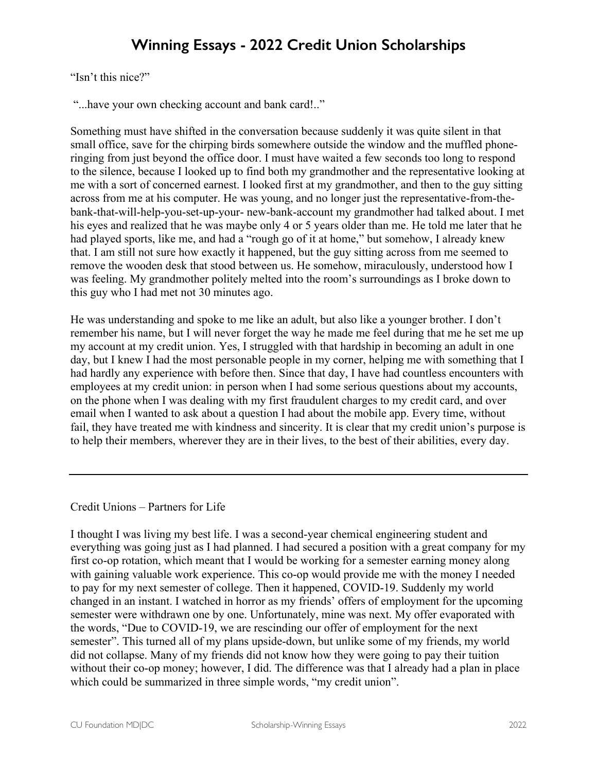"Isn't this nice?"

"...have your own checking account and bank card!.."

Something must have shifted in the conversation because suddenly it was quite silent in that small office, save for the chirping birds somewhere outside the window and the muffled phoneringing from just beyond the office door. I must have waited a few seconds too long to respond to the silence, because I looked up to find both my grandmother and the representative looking at me with a sort of concerned earnest. I looked first at my grandmother, and then to the guy sitting across from me at his computer. He was young, and no longer just the representative-from-thebank-that-will-help-you-set-up-your- new-bank-account my grandmother had talked about. I met his eyes and realized that he was maybe only 4 or 5 years older than me. He told me later that he had played sports, like me, and had a "rough go of it at home," but somehow, I already knew that. I am still not sure how exactly it happened, but the guy sitting across from me seemed to remove the wooden desk that stood between us. He somehow, miraculously, understood how I was feeling. My grandmother politely melted into the room's surroundings as I broke down to this guy who I had met not 30 minutes ago.

He was understanding and spoke to me like an adult, but also like a younger brother. I don't remember his name, but I will never forget the way he made me feel during that me he set me up my account at my credit union. Yes, I struggled with that hardship in becoming an adult in one day, but I knew I had the most personable people in my corner, helping me with something that I had hardly any experience with before then. Since that day, I have had countless encounters with employees at my credit union: in person when I had some serious questions about my accounts, on the phone when I was dealing with my first fraudulent charges to my credit card, and over email when I wanted to ask about a question I had about the mobile app. Every time, without fail, they have treated me with kindness and sincerity. It is clear that my credit union's purpose is to help their members, wherever they are in their lives, to the best of their abilities, every day.

Credit Unions – Partners for Life

I thought I was living my best life. I was a second-year chemical engineering student and everything was going just as I had planned. I had secured a position with a great company for my first co-op rotation, which meant that I would be working for a semester earning money along with gaining valuable work experience. This co-op would provide me with the money I needed to pay for my next semester of college. Then it happened, COVID-19. Suddenly my world changed in an instant. I watched in horror as my friends' offers of employment for the upcoming semester were withdrawn one by one. Unfortunately, mine was next. My offer evaporated with the words, "Due to COVID-19, we are rescinding our offer of employment for the next semester". This turned all of my plans upside-down, but unlike some of my friends, my world did not collapse. Many of my friends did not know how they were going to pay their tuition without their co-op money; however, I did. The difference was that I already had a plan in place which could be summarized in three simple words, "my credit union".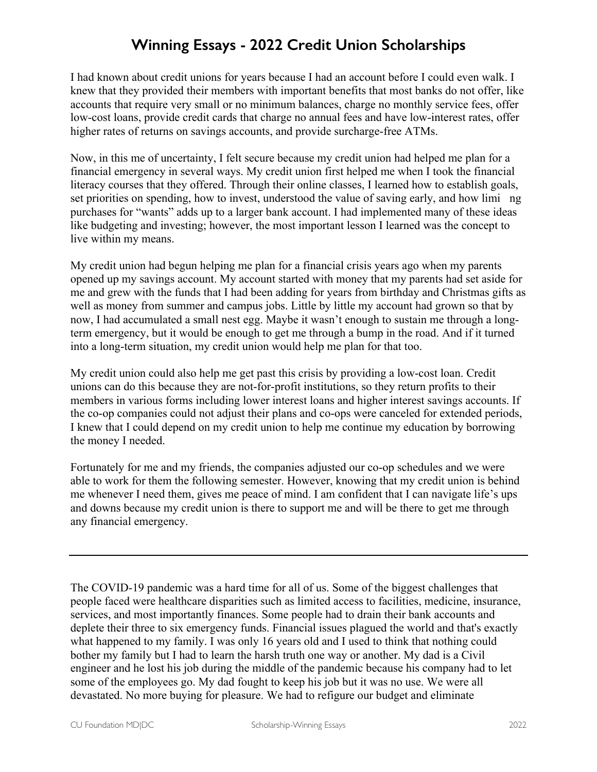I had known about credit unions for years because I had an account before I could even walk. I knew that they provided their members with important benefits that most banks do not offer, like accounts that require very small or no minimum balances, charge no monthly service fees, offer low-cost loans, provide credit cards that charge no annual fees and have low-interest rates, offer higher rates of returns on savings accounts, and provide surcharge-free ATMs.

Now, in this me of uncertainty, I felt secure because my credit union had helped me plan for a financial emergency in several ways. My credit union first helped me when I took the financial literacy courses that they offered. Through their online classes, I learned how to establish goals, set priorities on spending, how to invest, understood the value of saving early, and how liming purchases for "wants" adds up to a larger bank account. I had implemented many of these ideas like budgeting and investing; however, the most important lesson I learned was the concept to live within my means.

My credit union had begun helping me plan for a financial crisis years ago when my parents opened up my savings account. My account started with money that my parents had set aside for me and grew with the funds that I had been adding for years from birthday and Christmas gifts as well as money from summer and campus jobs. Little by little my account had grown so that by now, I had accumulated a small nest egg. Maybe it wasn't enough to sustain me through a longterm emergency, but it would be enough to get me through a bump in the road. And if it turned into a long-term situation, my credit union would help me plan for that too.

My credit union could also help me get past this crisis by providing a low-cost loan. Credit unions can do this because they are not-for-profit institutions, so they return profits to their members in various forms including lower interest loans and higher interest savings accounts. If the co-op companies could not adjust their plans and co-ops were canceled for extended periods, I knew that I could depend on my credit union to help me continue my education by borrowing the money I needed.

Fortunately for me and my friends, the companies adjusted our co-op schedules and we were able to work for them the following semester. However, knowing that my credit union is behind me whenever I need them, gives me peace of mind. I am confident that I can navigate life's ups and downs because my credit union is there to support me and will be there to get me through any financial emergency.

The COVID-19 pandemic was a hard time for all of us. Some of the biggest challenges that people faced were healthcare disparities such as limited access to facilities, medicine, insurance, services, and most importantly finances. Some people had to drain their bank accounts and deplete their three to six emergency funds. Financial issues plagued the world and that's exactly what happened to my family. I was only 16 years old and I used to think that nothing could bother my family but I had to learn the harsh truth one way or another. My dad is a Civil engineer and he lost his job during the middle of the pandemic because his company had to let some of the employees go. My dad fought to keep his job but it was no use. We were all devastated. No more buying for pleasure. We had to refigure our budget and eliminate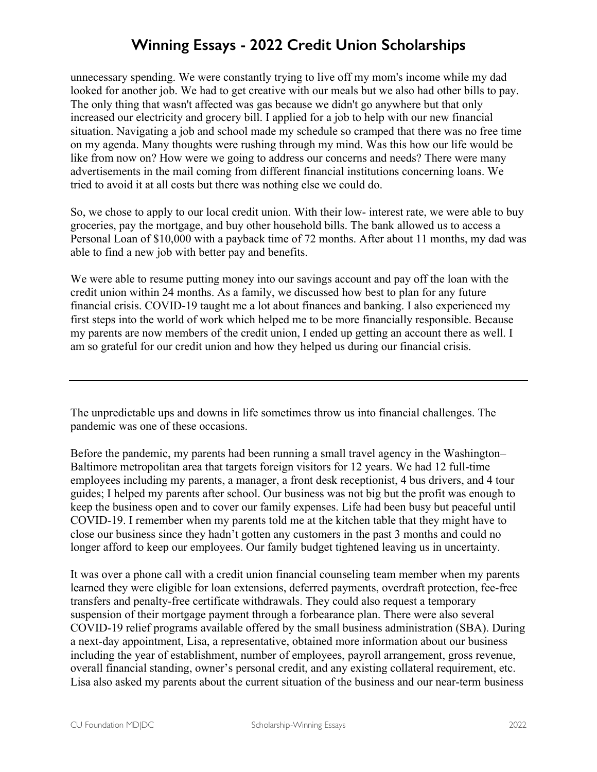unnecessary spending. We were constantly trying to live off my mom's income while my dad looked for another job. We had to get creative with our meals but we also had other bills to pay. The only thing that wasn't affected was gas because we didn't go anywhere but that only increased our electricity and grocery bill. I applied for a job to help with our new financial situation. Navigating a job and school made my schedule so cramped that there was no free time on my agenda. Many thoughts were rushing through my mind. Was this how our life would be like from now on? How were we going to address our concerns and needs? There were many advertisements in the mail coming from different financial institutions concerning loans. We tried to avoid it at all costs but there was nothing else we could do.

So, we chose to apply to our local credit union. With their low- interest rate, we were able to buy groceries, pay the mortgage, and buy other household bills. The bank allowed us to access a Personal Loan of \$10,000 with a payback time of 72 months. After about 11 months, my dad was able to find a new job with better pay and benefits.

We were able to resume putting money into our savings account and pay off the loan with the credit union within 24 months. As a family, we discussed how best to plan for any future financial crisis. COVID-19 taught me a lot about finances and banking. I also experienced my first steps into the world of work which helped me to be more financially responsible. Because my parents are now members of the credit union, I ended up getting an account there as well. I am so grateful for our credit union and how they helped us during our financial crisis.

The unpredictable ups and downs in life sometimes throw us into financial challenges. The pandemic was one of these occasions.

Before the pandemic, my parents had been running a small travel agency in the Washington– Baltimore metropolitan area that targets foreign visitors for 12 years. We had 12 full-time employees including my parents, a manager, a front desk receptionist, 4 bus drivers, and 4 tour guides; I helped my parents after school. Our business was not big but the profit was enough to keep the business open and to cover our family expenses. Life had been busy but peaceful until COVID-19. I remember when my parents told me at the kitchen table that they might have to close our business since they hadn't gotten any customers in the past 3 months and could no longer afford to keep our employees. Our family budget tightened leaving us in uncertainty.

It was over a phone call with a credit union financial counseling team member when my parents learned they were eligible for loan extensions, deferred payments, overdraft protection, fee-free transfers and penalty-free certificate withdrawals. They could also request a temporary suspension of their mortgage payment through a forbearance plan. There were also several COVID-19 relief programs available offered by the small business administration (SBA). During a next-day appointment, Lisa, a representative, obtained more information about our business including the year of establishment, number of employees, payroll arrangement, gross revenue, overall financial standing, owner's personal credit, and any existing collateral requirement, etc. Lisa also asked my parents about the current situation of the business and our near-term business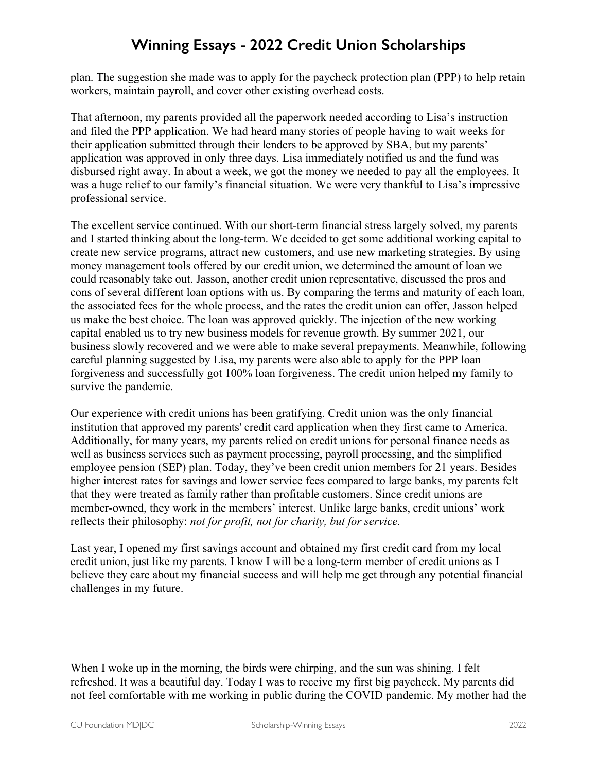plan. The suggestion she made was to apply for the paycheck protection plan (PPP) to help retain workers, maintain payroll, and cover other existing overhead costs.

That afternoon, my parents provided all the paperwork needed according to Lisa's instruction and filed the PPP application. We had heard many stories of people having to wait weeks for their application submitted through their lenders to be approved by SBA, but my parents' application was approved in only three days. Lisa immediately notified us and the fund was disbursed right away. In about a week, we got the money we needed to pay all the employees. It was a huge relief to our family's financial situation. We were very thankful to Lisa's impressive professional service.

The excellent service continued. With our short-term financial stress largely solved, my parents and I started thinking about the long-term. We decided to get some additional working capital to create new service programs, attract new customers, and use new marketing strategies. By using money management tools offered by our credit union, we determined the amount of loan we could reasonably take out. Jasson, another credit union representative, discussed the pros and cons of several different loan options with us. By comparing the terms and maturity of each loan, the associated fees for the whole process, and the rates the credit union can offer, Jasson helped us make the best choice. The loan was approved quickly. The injection of the new working capital enabled us to try new business models for revenue growth. By summer 2021, our business slowly recovered and we were able to make several prepayments. Meanwhile, following careful planning suggested by Lisa, my parents were also able to apply for the PPP loan forgiveness and successfully got 100% loan forgiveness. The credit union helped my family to survive the pandemic.

Our experience with credit unions has been gratifying. Credit union was the only financial institution that approved my parents' credit card application when they first came to America. Additionally, for many years, my parents relied on credit unions for personal finance needs as well as business services such as payment processing, payroll processing, and the simplified employee pension (SEP) plan. Today, they've been credit union members for 21 years. Besides higher interest rates for savings and lower service fees compared to large banks, my parents felt that they were treated as family rather than profitable customers. Since credit unions are member-owned, they work in the members' interest. Unlike large banks, credit unions' work reflects their philosophy: *not for profit, not for charity, but for service.*

Last year, I opened my first savings account and obtained my first credit card from my local credit union, just like my parents. I know I will be a long-term member of credit unions as I believe they care about my financial success and will help me get through any potential financial challenges in my future.

When I woke up in the morning, the birds were chirping, and the sun was shining. I felt refreshed. It was a beautiful day. Today I was to receive my first big paycheck. My parents did not feel comfortable with me working in public during the COVID pandemic. My mother had the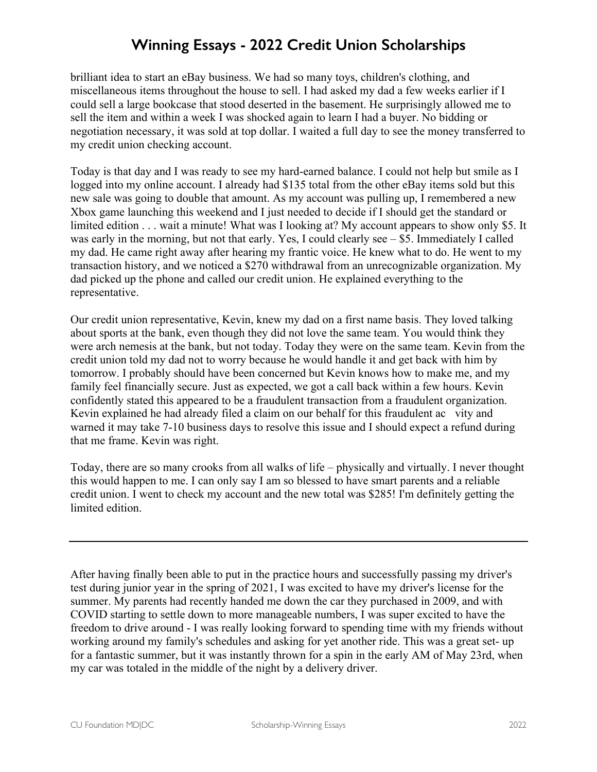brilliant idea to start an eBay business. We had so many toys, children's clothing, and miscellaneous items throughout the house to sell. I had asked my dad a few weeks earlier if I could sell a large bookcase that stood deserted in the basement. He surprisingly allowed me to sell the item and within a week I was shocked again to learn I had a buyer. No bidding or negotiation necessary, it was sold at top dollar. I waited a full day to see the money transferred to my credit union checking account.

Today is that day and I was ready to see my hard-earned balance. I could not help but smile as I logged into my online account. I already had \$135 total from the other eBay items sold but this new sale was going to double that amount. As my account was pulling up, I remembered a new Xbox game launching this weekend and I just needed to decide if I should get the standard or limited edition . . . wait a minute! What was I looking at? My account appears to show only \$5. It was early in the morning, but not that early. Yes, I could clearly see – \$5. Immediately I called my dad. He came right away after hearing my frantic voice. He knew what to do. He went to my transaction history, and we noticed a \$270 withdrawal from an unrecognizable organization. My dad picked up the phone and called our credit union. He explained everything to the representative.

Our credit union representative, Kevin, knew my dad on a first name basis. They loved talking about sports at the bank, even though they did not love the same team. You would think they were arch nemesis at the bank, but not today. Today they were on the same team. Kevin from the credit union told my dad not to worry because he would handle it and get back with him by tomorrow. I probably should have been concerned but Kevin knows how to make me, and my family feel financially secure. Just as expected, we got a call back within a few hours. Kevin confidently stated this appeared to be a fraudulent transaction from a fraudulent organization. Kevin explained he had already filed a claim on our behalf for this fraudulent ac vity and warned it may take 7-10 business days to resolve this issue and I should expect a refund during that me frame. Kevin was right.

Today, there are so many crooks from all walks of life – physically and virtually. I never thought this would happen to me. I can only say I am so blessed to have smart parents and a reliable credit union. I went to check my account and the new total was \$285! I'm definitely getting the limited edition.

After having finally been able to put in the practice hours and successfully passing my driver's test during junior year in the spring of 2021, I was excited to have my driver's license for the summer. My parents had recently handed me down the car they purchased in 2009, and with COVID starting to settle down to more manageable numbers, I was super excited to have the freedom to drive around - I was really looking forward to spending time with my friends without working around my family's schedules and asking for yet another ride. This was a great set- up for a fantastic summer, but it was instantly thrown for a spin in the early AM of May 23rd, when my car was totaled in the middle of the night by a delivery driver.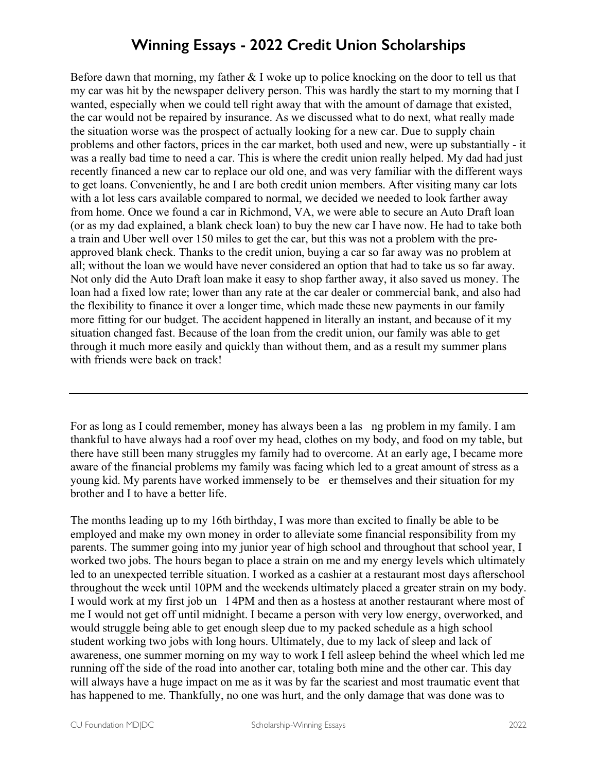Before dawn that morning, my father & I woke up to police knocking on the door to tell us that my car was hit by the newspaper delivery person. This was hardly the start to my morning that I wanted, especially when we could tell right away that with the amount of damage that existed, the car would not be repaired by insurance. As we discussed what to do next, what really made the situation worse was the prospect of actually looking for a new car. Due to supply chain problems and other factors, prices in the car market, both used and new, were up substantially - it was a really bad time to need a car. This is where the credit union really helped. My dad had just recently financed a new car to replace our old one, and was very familiar with the different ways to get loans. Conveniently, he and I are both credit union members. After visiting many car lots with a lot less cars available compared to normal, we decided we needed to look farther away from home. Once we found a car in Richmond, VA, we were able to secure an Auto Draft loan (or as my dad explained, a blank check loan) to buy the new car I have now. He had to take both a train and Uber well over 150 miles to get the car, but this was not a problem with the preapproved blank check. Thanks to the credit union, buying a car so far away was no problem at all; without the loan we would have never considered an option that had to take us so far away. Not only did the Auto Draft loan make it easy to shop farther away, it also saved us money. The loan had a fixed low rate; lower than any rate at the car dealer or commercial bank, and also had the flexibility to finance it over a longer time, which made these new payments in our family more fitting for our budget. The accident happened in literally an instant, and because of it my situation changed fast. Because of the loan from the credit union, our family was able to get through it much more easily and quickly than without them, and as a result my summer plans with friends were back on track!

For as long as I could remember, money has always been a lasng problem in my family. I am thankful to have always had a roof over my head, clothes on my body, and food on my table, but there have still been many struggles my family had to overcome. At an early age, I became more aware of the financial problems my family was facing which led to a great amount of stress as a young kid. My parents have worked immensely to beer themselves and their situation for my brother and I to have a better life.

The months leading up to my 16th birthday, I was more than excited to finally be able to be employed and make my own money in order to alleviate some financial responsibility from my parents. The summer going into my junior year of high school and throughout that school year, I worked two jobs. The hours began to place a strain on me and my energy levels which ultimately led to an unexpected terrible situation. I worked as a cashier at a restaurant most days afterschool throughout the week until 10PM and the weekends ultimately placed a greater strain on my body. I would work at my first job un 14PM and then as a hostess at another restaurant where most of me I would not get off until midnight. I became a person with very low energy, overworked, and would struggle being able to get enough sleep due to my packed schedule as a high school student working two jobs with long hours. Ultimately, due to my lack of sleep and lack of awareness, one summer morning on my way to work I fell asleep behind the wheel which led me running off the side of the road into another car, totaling both mine and the other car. This day will always have a huge impact on me as it was by far the scariest and most traumatic event that has happened to me. Thankfully, no one was hurt, and the only damage that was done was to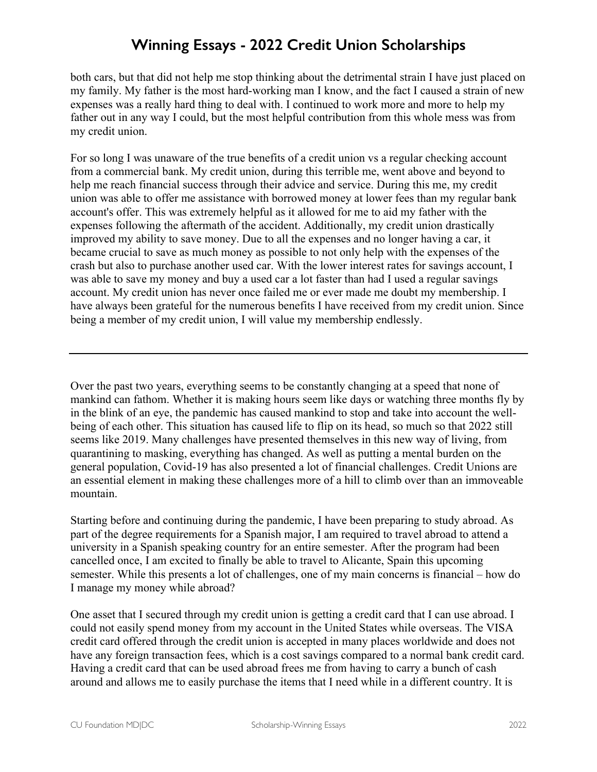both cars, but that did not help me stop thinking about the detrimental strain I have just placed on my family. My father is the most hard-working man I know, and the fact I caused a strain of new expenses was a really hard thing to deal with. I continued to work more and more to help my father out in any way I could, but the most helpful contribution from this whole mess was from my credit union.

For so long I was unaware of the true benefits of a credit union vs a regular checking account from a commercial bank. My credit union, during this terrible me, went above and beyond to help me reach financial success through their advice and service. During this me, my credit union was able to offer me assistance with borrowed money at lower fees than my regular bank account's offer. This was extremely helpful as it allowed for me to aid my father with the expenses following the aftermath of the accident. Additionally, my credit union drastically improved my ability to save money. Due to all the expenses and no longer having a car, it became crucial to save as much money as possible to not only help with the expenses of the crash but also to purchase another used car. With the lower interest rates for savings account, I was able to save my money and buy a used car a lot faster than had I used a regular savings account. My credit union has never once failed me or ever made me doubt my membership. I have always been grateful for the numerous benefits I have received from my credit union. Since being a member of my credit union, I will value my membership endlessly.

Over the past two years, everything seems to be constantly changing at a speed that none of mankind can fathom. Whether it is making hours seem like days or watching three months fly by in the blink of an eye, the pandemic has caused mankind to stop and take into account the wellbeing of each other. This situation has caused life to flip on its head, so much so that 2022 still seems like 2019. Many challenges have presented themselves in this new way of living, from quarantining to masking, everything has changed. As well as putting a mental burden on the general population, Covid-19 has also presented a lot of financial challenges. Credit Unions are an essential element in making these challenges more of a hill to climb over than an immoveable mountain.

Starting before and continuing during the pandemic, I have been preparing to study abroad. As part of the degree requirements for a Spanish major, I am required to travel abroad to attend a university in a Spanish speaking country for an entire semester. After the program had been cancelled once, I am excited to finally be able to travel to Alicante, Spain this upcoming semester. While this presents a lot of challenges, one of my main concerns is financial – how do I manage my money while abroad?

One asset that I secured through my credit union is getting a credit card that I can use abroad. I could not easily spend money from my account in the United States while overseas. The VISA credit card offered through the credit union is accepted in many places worldwide and does not have any foreign transaction fees, which is a cost savings compared to a normal bank credit card. Having a credit card that can be used abroad frees me from having to carry a bunch of cash around and allows me to easily purchase the items that I need while in a different country. It is